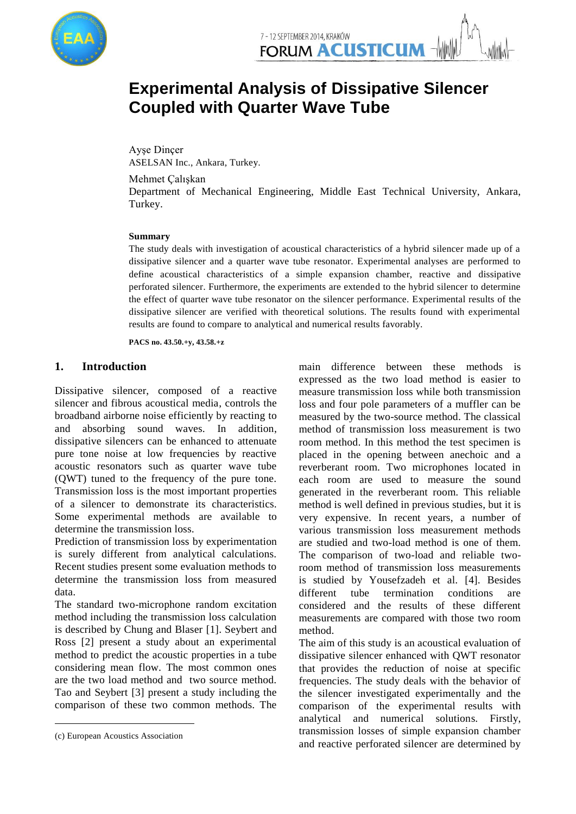

# **Experimental Analysis of Dissipative Silencer Coupled with Quarter Wave Tube**

Ayşe Dinçer ASELSAN Inc., Ankara, Turkey.

Mehmet Çalışkan

Department of Mechanical Engineering, Middle East Technical University, Ankara, Turkey.

#### **Summary**

The study deals with investigation of acoustical characteristics of a hybrid silencer made up of a dissipative silencer and a quarter wave tube resonator. Experimental analyses are performed to define acoustical characteristics of a simple expansion chamber, reactive and dissipative perforated silencer. Furthermore, the experiments are extended to the hybrid silencer to determine the effect of quarter wave tube resonator on the silencer performance. Experimental results of the dissipative silencer are verified with theoretical solutions. The results found with experimental results are found to compare to analytical and numerical results favorably.

**PACS no. 43.50.+y, 43.58.+z**

## **1. Introduction<sup>1</sup>**

Dissipative silencer, composed of a reactive silencer and fibrous acoustical media, controls the broadband airborne noise efficiently by reacting to and absorbing sound waves. In addition, dissipative silencers can be enhanced to attenuate pure tone noise at low frequencies by reactive acoustic resonators such as quarter wave tube (QWT) tuned to the frequency of the pure tone. Transmission loss is the most important properties of a silencer to demonstrate its characteristics. Some experimental methods are available to determine the transmission loss.

Prediction of transmission loss by experimentation is surely different from analytical calculations. Recent studies present some evaluation methods to determine the transmission loss from measured data.

The standard two-microphone random excitation method including the transmission loss calculation is described by Chung and Blaser [1]. Seybert and Ross [2] present a study about an experimental method to predict the acoustic properties in a tube considering mean flow. The most common ones are the two load method and two source method. Tao and Seybert [3] present a study including the comparison of these two common methods. The

-

main difference between these methods is expressed as the two load method is easier to measure transmission loss while both transmission loss and four pole parameters of a muffler can be measured by the two-source method. The classical method of transmission loss measurement is two room method. In this method the test specimen is placed in the opening between anechoic and a reverberant room. Two microphones located in each room are used to measure the sound generated in the reverberant room. This reliable method is well defined in previous studies, but it is very expensive. In recent years, a number of various transmission loss measurement methods are studied and two-load method is one of them. The comparison of two-load and reliable tworoom method of transmission loss measurements is studied by Yousefzadeh et al. [4]. Besides different tube termination conditions are considered and the results of these different measurements are compared with those two room method.

The aim of this study is an acoustical evaluation of dissipative silencer enhanced with QWT resonator that provides the reduction of noise at specific frequencies. The study deals with the behavior of the silencer investigated experimentally and the comparison of the experimental results with analytical and numerical solutions. Firstly, transmission losses of simple expansion chamber and reactive perforated silencer are determined by

<sup>1</sup> (c) European Acoustics Association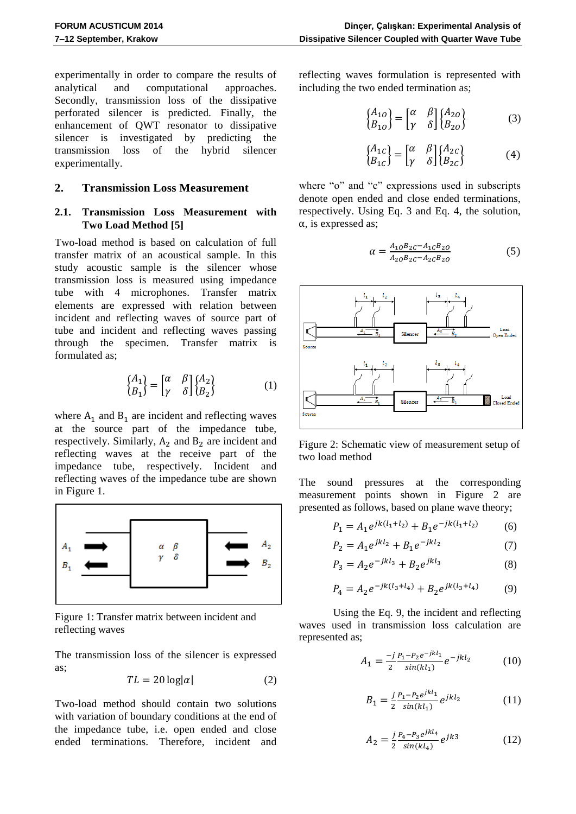experimentally in order to compare the results of analytical and computational approaches. Secondly, transmission loss of the dissipative perforated silencer is predicted. Finally, the enhancement of QWT resonator to dissipative silencer is investigated by predicting the transmission loss of the hybrid silencer experimentally.

## **2. Transmission Loss Measurement**

## **2.1. Transmission Loss Measurement with Two Load Method [5]**

Two-load method is based on calculation of full transfer matrix of an acoustical sample. In this study acoustic sample is the silencer whose transmission loss is measured using impedance tube with 4 microphones. Transfer matrix elements are expressed with relation between incident and reflecting waves of source part of tube and incident and reflecting waves passing through the specimen. Transfer matrix is formulated as;

$$
\begin{Bmatrix} A_1 \\ B_1 \end{Bmatrix} = \begin{bmatrix} \alpha & \beta \\ \gamma & \delta \end{bmatrix} \begin{Bmatrix} A_2 \\ B_2 \end{Bmatrix}
$$
 (1)

where  $A_1$  and  $B_1$  are incident and reflecting waves at the source part of the impedance tube, respectively. Similarly,  $A_2$  and  $B_2$  are incident and reflecting waves at the receive part of the impedance tube, respectively. Incident and reflecting waves of the impedance tube are shown in [Figure](#page-1-0) 1.



<span id="page-1-0"></span>Figure 1: Transfer matrix between incident and reflecting waves

The transmission loss of the silencer is expressed as;

$$
TL = 20 \log|\alpha| \tag{2}
$$

Two-load method should contain two solutions with variation of boundary conditions at the end of the impedance tube, i.e. open ended and close ended terminations. Therefore, incident and reflecting waves formulation is represented with including the two ended termination as;

$$
\begin{Bmatrix} A_{10} \\ B_{10} \end{Bmatrix} = \begin{bmatrix} \alpha & \beta \\ \gamma & \delta \end{bmatrix} \begin{Bmatrix} A_{20} \\ B_{20} \end{Bmatrix}
$$
 (3)

$$
\begin{Bmatrix} A_{1c} \\ B_{1c} \end{Bmatrix} = \begin{bmatrix} \alpha & \beta \\ \gamma & \delta \end{bmatrix} \begin{Bmatrix} A_{2c} \\ B_{2c} \end{Bmatrix}
$$
 (4)

where "o" and "c" expressions used in subscripts denote open ended and close ended terminations, respectively. Using Eq. 3 and Eq. 4, the solution,  $\alpha$ , is expressed as;

$$
\alpha = \frac{A_{10}B_{2C} - A_{1C}B_{2O}}{A_{20}B_{2C} - A_{2C}B_{2O}} \tag{5}
$$



<span id="page-1-1"></span>Figure 2: Schematic view of measurement setup of two load method

The sound pressures at the corresponding measurement points shown in [Figure 2](#page-1-1) are presented as follows, based on plane wave theory;

$$
P_1 = A_1 e^{jk(l_1 + l_2)} + B_1 e^{-jk(l_1 + l_2)} \tag{6}
$$

$$
P_2 = A_1 e^{jkl_2} + B_1 e^{-jkl_2} \tag{7}
$$

$$
P_3 = A_2 e^{-jkl_3} + B_2 e^{jkl_3} \tag{8}
$$

$$
P_4 = A_2 e^{-jk(l_3 + l_4)} + B_2 e^{jk(l_3 + l_4)} \tag{9}
$$

Using the Eq. 9, the incident and reflecting waves used in transmission loss calculation are represented as;

$$
A_1 = \frac{-j}{2} \frac{P_1 - P_2 e^{-jkl_1}}{\sin(kl_1)} e^{-jkl_2}
$$
 (10)

$$
B_1 = \frac{j}{2} \frac{P_1 - P_2 e^{jkl_1}}{\sin(kl_1)} e^{jkl_2}
$$
 (11)

$$
A_2 = \frac{j}{2} \frac{p_4 - p_3 e^{jkl_4}}{\sin(kl_4)} e^{jk3}
$$
 (12)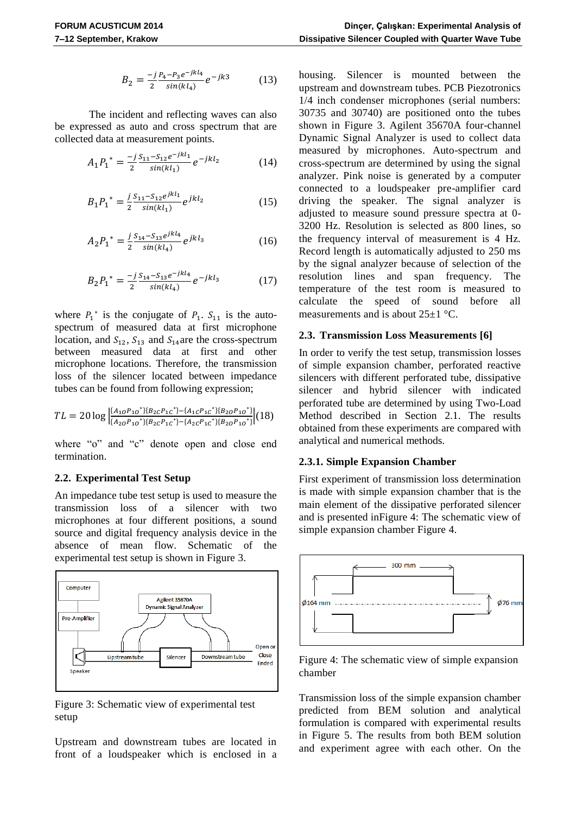$$
B_2 = \frac{-j}{2} \frac{P_4 - P_3 e^{-jkl_4}}{\sin(kl_4)} e^{-jk3}
$$
 (13)

The incident and reflecting waves can also be expressed as auto and cross spectrum that are collected data at measurement points.

$$
A_1 P_1^* = \frac{-j S_{11} - S_{12} e^{-jkl_1}}{2 \sin(kl_1)} e^{-jkl_2}
$$
 (14)

$$
B_1 P_1^* = \frac{j}{2} \frac{S_{11} - S_{12} e^{jkl_1}}{\sin(kl_1)} e^{jkl_2}
$$
 (15)

$$
A_2 P_1^* = \frac{j S_{14} - S_{13} e^{jkl_4}}{2 \sin(kl_4)} e^{jkl_3}
$$
 (16)

$$
B_2 P_1^* = \frac{-j}{2} \frac{S_{14} - S_{13}e^{-jkl_4}}{\sin(kl_4)} e^{-jkl_3}
$$
 (17)

where  $P_1^*$  is the conjugate of  $P_1$ .  $S_{11}$  is the autospectrum of measured data at first microphone location, and  $S_{12}$ ,  $S_{13}$  and  $S_{14}$  are the cross-spectrum between measured data at first and other microphone locations. Therefore, the transmission loss of the silencer located between impedance tubes can be found from following expression;

$$
TL = 20 \log \left| \frac{(A_{10}P_{10}^*) \{B_{2C}P_{1C}^*\} - \{A_{1C}P_{1C}^*\} \{B_{2O}P_{10}^*\}}{\{A_{2O}P_{10}^*\} \{B_{2C}P_{1C}^*\} - \{A_{2C}P_{1C}^*\} \{B_{2O}P_{10}^*\}} \right| (18)
$$

where "o" and "c" denote open and close end termination.

#### **2.2. Experimental Test Setup**

An impedance tube test setup is used to measure the transmission loss of a silencer with two microphones at four different positions, a sound source and digital frequency analysis device in the absence of mean flow. Schematic of the experimental test setup is shown i[n Figure 3.](#page-2-0)



<span id="page-2-0"></span>Figure 3: Schematic view of experimental test setup

Upstream and downstream tubes are located in front of a loudspeaker which is enclosed in a

housing. Silencer is mounted between the upstream and downstream tubes. PCB Piezotronics 1/4 inch condenser microphones (serial numbers: 30735 and 30740) are positioned onto the tubes shown in [Figure 3.](#page-2-0) Agilent 35670A four-channel Dynamic Signal Analyzer is used to collect data measured by microphones. Auto-spectrum and cross-spectrum are determined by using the signal analyzer. Pink noise is generated by a computer connected to a loudspeaker pre-amplifier card driving the speaker. The signal analyzer is adjusted to measure sound pressure spectra at 0- 3200 Hz. Resolution is selected as 800 lines, so the frequency interval of measurement is 4 Hz. Record length is automatically adjusted to 250 ms by the signal analyzer because of selection of the resolution lines and span frequency. The temperature of the test room is measured to calculate the speed of sound before all measurements and is about 25±1 °C.

#### **2.3. Transmission Loss Measurements [6]**

In order to verify the test setup, transmission losses of simple expansion chamber, perforated reactive silencers with different perforated tube, dissipative silencer and hybrid silencer with indicated perforated tube are determined by using Two-Load Method described in Section 2.1. The results obtained from these experiments are compared with analytical and numerical methods.

## **2.3.1. Simple Expansion Chamber**

First experiment of transmission loss determination is made with simple expansion chamber that is the main element of the dissipative perforated silencer and is presented i[nFigure 4: The schematic view of](#page-2-1)  [simple expansion chamber](#page-2-1) [Figure 4.](#page-2-1)



<span id="page-2-1"></span>Figure 4: The schematic view of simple expansion chamber

Transmission loss of the simple expansion chamber predicted from BEM solution and analytical formulation is compared with experimental results in [Figure 5.](#page-3-0) The results from both BEM solution and experiment agree with each other. On the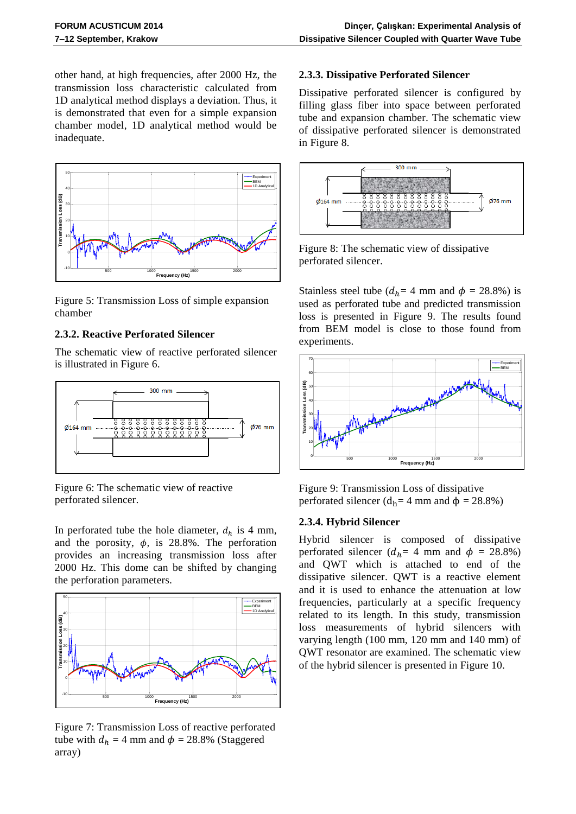other hand, at high frequencies, after 2000 Hz, the transmission loss characteristic calculated from 1D analytical method displays a deviation. Thus, it is demonstrated that even for a simple expansion chamber model, 1D analytical method would be inadequate.



<span id="page-3-0"></span>Figure 5: Transmission Loss of simple expansion chamber

## **2.3.2. Reactive Perforated Silencer**

The schematic view of reactive perforated silencer is illustrated in [Figure 6.](#page-3-1)



<span id="page-3-1"></span>Figure 6: The schematic view of reactive perforated silencer.

In perforated tube the hole diameter,  $d_h$  is 4 mm, and the porosity,  $\phi$ , is 28.8%. The perforation provides an increasing transmission loss after 2000 Hz. This dome can be shifted by changing the perforation parameters.



Figure 7: Transmission Loss of reactive perforated tube with  $d_h = 4$  mm and  $\phi = 28.8\%$  (Staggered array)

### **2.3.3. Dissipative Perforated Silencer**

Dissipative perforated silencer is configured by filling glass fiber into space between perforated tube and expansion chamber. The schematic view of dissipative perforated silencer is demonstrated in [Figure 8.](#page-3-2)



<span id="page-3-2"></span>Figure 8: The schematic view of dissipative perforated silencer.

Stainless steel tube ( $d_h$ = 4 mm and  $\phi$  = 28.8%) is used as perforated tube and predicted transmission loss is presented in [Figure 9.](#page-3-3) The results found from BEM model is close to those found from experiments.



<span id="page-3-3"></span>Figure 9: Transmission Loss of dissipative perforated silencer ( $d_h$ = 4 mm and  $\phi$  = 28.8%)

#### **2.3.4. Hybrid Silencer**

Hybrid silencer is composed of dissipative perforated silencer ( $d_h$ = 4 mm and  $\phi$  = 28.8%) and QWT which is attached to end of the dissipative silencer. QWT is a reactive element and it is used to enhance the attenuation at low frequencies, particularly at a specific frequency related to its length. In this study, transmission loss measurements of hybrid silencers with varying length (100 mm, 120 mm and 140 mm) of QWT resonator are examined. The schematic view of the hybrid silencer is presented in [Figure 10.](#page-4-0)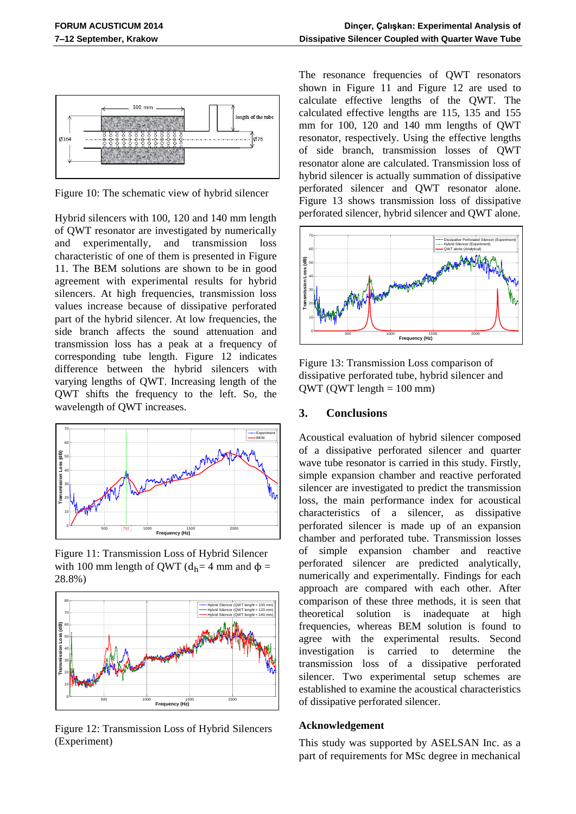

<span id="page-4-0"></span>Figure 10: The schematic view of hybrid silencer

Hybrid silencers with 100, 120 and 140 mm length of QWT resonator are investigated by numerically and experimentally, and transmission loss characteristic of one of them is presented in [Figure](#page-4-1)  [11.](#page-4-1) The BEM solutions are shown to be in good agreement with experimental results for hybrid silencers. At high frequencies, transmission loss values increase because of dissipative perforated part of the hybrid silencer. At low frequencies, the side branch affects the sound attenuation and transmission loss has a peak at a frequency of corresponding tube length. [Figure 12](#page-4-2) indicates difference between the hybrid silencers with varying lengths of QWT. Increasing length of the QWT shifts the frequency to the left. So, the wavelength of QWT increases.



<span id="page-4-1"></span>Figure 11: Transmission Loss of Hybrid Silencer with 100 mm length of QWT ( $d_h$ = 4 mm and  $\phi$  = 28.8%)



<span id="page-4-2"></span>Figure 12: Transmission Loss of Hybrid Silencers (Experiment)

The resonance frequencies of QWT resonators shown in [Figure 11](#page-4-1) and [Figure 12](#page-4-2) are used to calculate effective lengths of the QWT. The calculated effective lengths are 115, 135 and 155 mm for 100, 120 and 140 mm lengths of QWT resonator, respectively. Using the effective lengths of side branch, transmission losses of QWT resonator alone are calculated. Transmission loss of hybrid silencer is actually summation of dissipative perforated silencer and QWT resonator alone. Figure 13 shows transmission loss of dissipative perforated silencer, hybrid silencer and QWT alone.

![](_page_4_Figure_10.jpeg)

Figure 13: Transmission Loss comparison of dissipative perforated tube, hybrid silencer and  $QWT (QWT length = 100 mm)$ 

## **3. Conclusions**

Acoustical evaluation of hybrid silencer composed of a dissipative perforated silencer and quarter wave tube resonator is carried in this study. Firstly, simple expansion chamber and reactive perforated silencer are investigated to predict the transmission loss, the main performance index for acoustical characteristics of a silencer, as dissipative perforated silencer is made up of an expansion chamber and perforated tube. Transmission losses of simple expansion chamber and reactive perforated silencer are predicted analytically, numerically and experimentally. Findings for each approach are compared with each other. After comparison of these three methods, it is seen that theoretical solution is inadequate at high frequencies, whereas BEM solution is found to agree with the experimental results. Second investigation is carried to determine the transmission loss of a dissipative perforated silencer. Two experimental setup schemes are established to examine the acoustical characteristics of dissipative perforated silencer.

#### **Acknowledgement**

This study was supported by ASELSAN Inc. as a part of requirements for MSc degree in mechanical